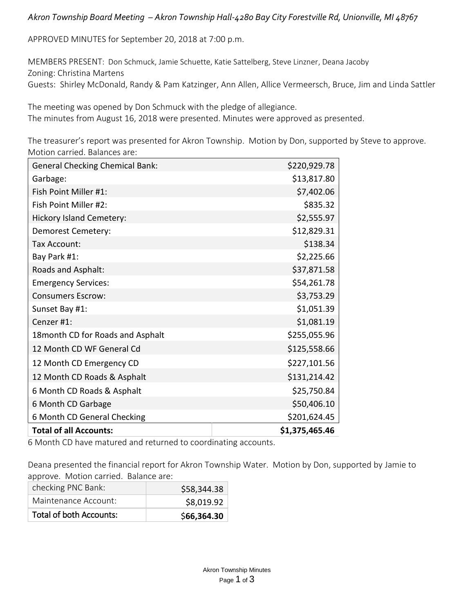## *Akron Township Board Meeting – Akron Township Hall-4280 Bay City Forestville Rd, Unionville, MI 48767*

APPROVED MINUTES for September 20, 2018 at 7:00 p.m.

MEMBERS PRESENT: Don Schmuck, Jamie Schuette, Katie Sattelberg, Steve Linzner, Deana Jacoby Zoning: Christina Martens

Guests: Shirley McDonald, Randy & Pam Katzinger, Ann Allen, Allice Vermeersch, Bruce, Jim and Linda Sattler

The meeting was opened by Don Schmuck with the pledge of allegiance. The minutes from August 16, 2018 were presented. Minutes were approved as presented.

The treasurer's report was presented for Akron Township. Motion by Don, supported by Steve to approve. Motion carried. Balances are:

| <b>General Checking Chemical Bank:</b> | \$220,929.78   |
|----------------------------------------|----------------|
| Garbage:                               | \$13,817.80    |
| Fish Point Miller #1:                  | \$7,402.06     |
| Fish Point Miller #2:                  | \$835.32       |
| <b>Hickory Island Cemetery:</b>        | \$2,555.97     |
| Demorest Cemetery:                     | \$12,829.31    |
| Tax Account:                           | \$138.34       |
| Bay Park #1:                           | \$2,225.66     |
| Roads and Asphalt:                     | \$37,871.58    |
| <b>Emergency Services:</b>             | \$54,261.78    |
| <b>Consumers Escrow:</b>               | \$3,753.29     |
| Sunset Bay #1:                         | \$1,051.39     |
| Cenzer #1:                             | \$1,081.19     |
| 18 month CD for Roads and Asphalt      | \$255,055.96   |
| 12 Month CD WF General Cd              | \$125,558.66   |
| 12 Month CD Emergency CD               | \$227,101.56   |
| 12 Month CD Roads & Asphalt            | \$131,214.42   |
| 6 Month CD Roads & Asphalt             | \$25,750.84    |
| 6 Month CD Garbage                     | \$50,406.10    |
| 6 Month CD General Checking            | \$201,624.45   |
| <b>Total of all Accounts:</b>          | \$1,375,465.46 |

6 Month CD have matured and returned to coordinating accounts.

Deana presented the financial report for Akron Township Water. Motion by Don, supported by Jamie to approve. Motion carried. Balance are:

| checking PNC Bank:             | \$58,344.38 |
|--------------------------------|-------------|
| Maintenance Account:           | \$8,019.92  |
| <b>Total of both Accounts:</b> | \$66,364.30 |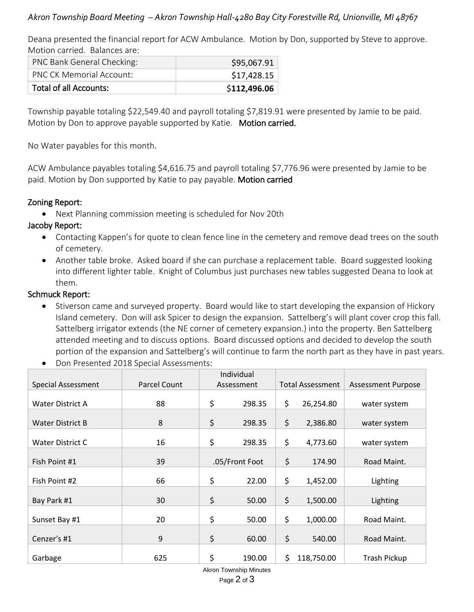## *Akron Township Board Meeting – Akron Township Hall-4280 Bay City Forestville Rd, Unionville, MI 48767*

Deana presented the financial report for ACW Ambulance. Motion by Don, supported by Steve to approve. Motion carried. Balances are:

| PNC Bank General Checking:      | \$95,067.91  |
|---------------------------------|--------------|
| <b>PNC CK Memorial Account:</b> | \$17,428.15  |
| Total of all Accounts:          | \$112,496.06 |

Township payable totaling \$22,549.40 and payroll totaling \$7,819.91 were presented by Jamie to be paid. Motion by Don to approve payable supported by Katie. Motion carried.

No Water payables for this month.

ACW Ambulance payables totaling \$4,616.75 and payroll totaling \$7,776.96 were presented by Jamie to be paid. Motion by Don supported by Katie to pay payable. Motion carried

### Zoning Report:

• Next Planning commission meeting is scheduled for Nov 20th

## Jacoby Report:

- Contacting Kappen's for quote to clean fence line in the cemetery and remove dead trees on the south of cemetery.
- Another table broke. Asked board if she can purchase a replacement table. Board suggested looking into different lighter table. Knight of Columbus just purchases new tables suggested Deana to look at them.

### Schmuck Report:

- Stiverson came and surveyed property. Board would like to start developing the expansion of Hickory Island cemetery. Don will ask Spicer to design the expansion. Sattelberg's will plant cover crop this fall. Sattelberg irrigator extends (the NE corner of cemetery expansion.) into the property. Ben Sattelberg attended meeting and to discuss options. Board discussed options and decided to develop the south portion of the expansion and Sattelberg's will continue to farm the north part as they have in past years.
- Don Presented 2018 Special Assessments:

|                           |                     | Individual     |        |                         |            |                           |
|---------------------------|---------------------|----------------|--------|-------------------------|------------|---------------------------|
| <b>Special Assessment</b> | <b>Parcel Count</b> | Assessment     |        | <b>Total Assessment</b> |            | <b>Assessment Purpose</b> |
| <b>Water District A</b>   | 88                  | \$             | 298.35 | \$                      | 26,254.80  | water system              |
| <b>Water District B</b>   | 8                   | \$             | 298.35 | \$                      | 2,386.80   | water system              |
| <b>Water District C</b>   | 16                  | \$             | 298.35 | \$                      | 4,773.60   | water system              |
| Fish Point #1             | 39                  | .05/Front Foot |        | \$                      | 174.90     | Road Maint.               |
| Fish Point #2             | 66                  | \$             | 22.00  | \$                      | 1,452.00   | Lighting                  |
| Bay Park #1               | 30                  | \$             | 50.00  | \$                      | 1,500.00   | Lighting                  |
| Sunset Bay #1             | 20                  | \$             | 50.00  | \$                      | 1,000.00   | Road Maint.               |
| Cenzer's #1               | 9                   | \$             | 60.00  | \$                      | 540.00     | Road Maint.               |
| Garbage                   | 625                 | \$             | 190.00 | \$                      | 118,750.00 | Trash Pickup              |